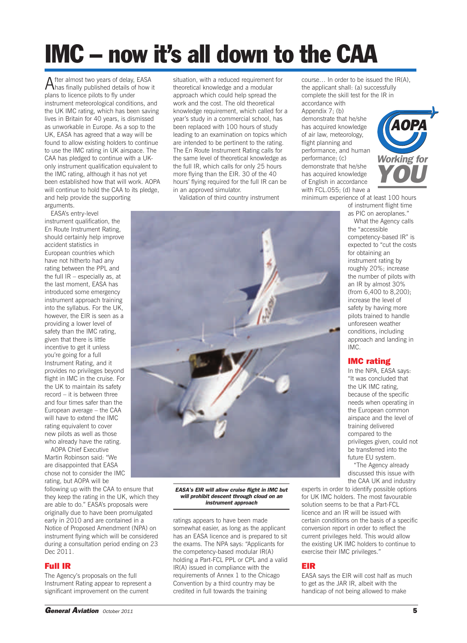# **IMC – now it's all down to the CAA**

After almost two years of delay, EASA has finally published details of how it plans to licence pilots to fly under instrument meteorological conditions, and the UK IMC rating, which has been saving lives in Britain for 40 years, is dismissed as unworkable in Europe. As a sop to the UK, EASA has agreed that a way will be found to allow existing holders to continue to use the IMC rating in UK airspace. The CAA has pledged to continue with a UKonly instrument qualification equivalent to the IMC rating, although it has not yet been established how that will work. AOPA will continue to hold the CAA to its pledge. and help provide the supporting arguments.

EASA's entry-level instrument qualification, the En Route Instrument Rating, should certainly help improve accident statistics in European countries which have not hitherto had any rating between the PPL and the full IR – especially as, at the last moment, EASA has introduced some emergency instrument approach training into the syllabus. For the UK, however, the EIR is seen as a providing a lower level of safety than the IMC rating, given that there is little incentive to get it unless you're going for a full Instrument Rating, and it provides no privileges beyond flight in IMC in the cruise. For the UK to maintain its safety record – it is between three and four times safer than the European average – the CAA will have to extend the IMC rating equivalent to cover new pilots as well as those who already have the rating.

AOPA Chief Executive Martin Robinson said: "We are disappointed that EASA chose not to consider the IMC rating, but AOPA will be

following up with the CAA to ensure that they keep the rating in the UK, which they are able to do." EASA's proposals were originally due to have been promulgated early in 2010 and are contained in a Notice of Proposed Amendment (NPA) on instrument flying which will be considered during a consultation period ending on 23 Dec 2011.

## **Full IR**

The Agency's proposals on the full Instrument Rating appear to represent a significant improvement on the current

situation, with a reduced requirement for theoretical knowledge and a modular approach which could help spread the work and the cost. The old theoretical knowledge requirement, which called for a year's study in a commercial school, has been replaced with 100 hours of study leading to an examination on topics which are intended to be pertinent to the rating. The En Route Instrument Rating calls for the same level of theoretical knowledge as the full IR, which calls for only 25 hours more flying than the EIR. 30 of the 40 hours' flying required for the full IR can be in an approved simulator.

Validation of third country instrument

*EASA's EIR will allow cruise flight in IMC but will prohibit descent through cloud on an instrument approach*

ratings appears to have been made somewhat easier, as long as the applicant has an EASA licence and is prepared to sit the exams. The NPA says: "Applicants for the competency-based modular IR(A) holding a Part-FCL PPL or CPL and a valid IR(A) issued in compliance with the requirements of Annex 1 to the Chicago Convention by a third country may be credited in full towards the training

course… In order to be issued the IR(A), the applicant shall: (a) successfully complete the skill test for the IR in accordance with Appendix 7; (b) demonstrate that he/she has acquired knowledge *Working for YOU AOPA*

minimum experience of at least 100 hours

of instrument flight time as PIC on aeroplanes."

competency-based IR" is expected to "cut the costs for obtaining an instrument rating by roughly 20%; increase the number of pilots with an IR by almost 30% (from 6,400 to 8,200); increase the level of safety by having more pilots trained to handle unforeseen weather conditions, including approach and landing in IMC.

## **IMC rating**

In the NPA, EASA says: "It was concluded that the UK IMC rating, because of the specific needs when operating in the European common airspace and the level of training delivered compared to the privileges given, could not be transferred into the future EU system.

"The Agency already discussed this issue with the CAA UK and industry

experts in order to identify possible options for UK IMC holders. The most favourable solution seems to be that a Part-FCL licence and an IR will be issued with certain conditions on the basis of a specific conversion report in order to reflect the current privileges held. This would allow the existing UK IMC holders to continue to exercise their IMC privileges."

## **EIR**

EASA says the EIR will cost half as much to get as the JAR IR, albeit with the handicap of not being allowed to make



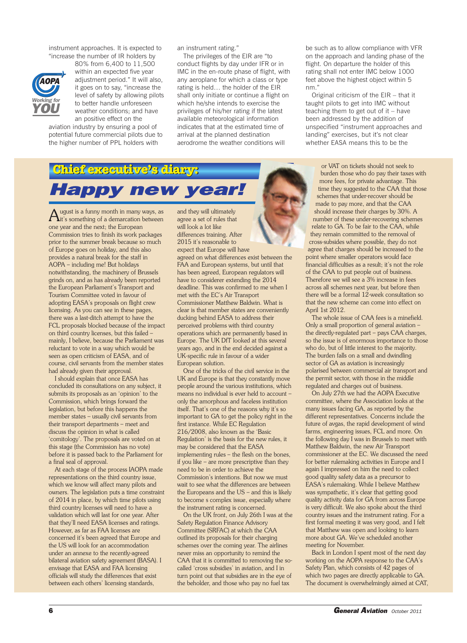instrument approaches. It is expected to "increase the number of IR holders by



80% from 6,400 to 11,500 within an expected five year adjustment period." It will also, it goes on to say, "increase the level of safety by allowing pilots to better handle unforeseen weather conditions; and have an positive effect on the

aviation industry by ensuring a pool of potential future commercial pilots due to the higher number of PPL holders with

an instrument rating."

The privileges of the EIR are "to conduct flights by day under IFR or in IMC in the en-route phase of flight, with any aeroplane for which a class or type rating is held… the holder of the EIR shall only initiate or continue a flight on which he/she intends to exercise the privileges of his/her rating if the latest available meteorological information indicates that at the estimated time of arrival at the planned destination aerodrome the weather conditions will

be such as to allow compliance with VFR on the approach and landing phase of the flight. On departure the holder of this rating shall not enter IMC below 1000 feet above the highest object within 5 nm."

Original criticism of the EIR – that it taught pilots to get into IMC without teaching them to get out of it – have been addressed by the addition of unspecified "instrument approaches and landing" exercises, but it's not clear whether EASA means this to be the

## **Chief executive'sdiary:** *Happy new year!*

ugust is a funny month in many ways, as  $\mathbf{\hat{i}}$ it's something of a demarcation between one year and the next; the European Commission tries to finish its work packages prior to the summer break because so much of Europe goes on holiday, and this also provides a natural break for the staff in AOPA – including me! But holidays notwithstanding, the machinery of Brussels grinds on, and as has already been reported the European Parliament's Transport and Tourism Committee voted in favour of adopting EASA's proposals on flight crew licensing. As you can see in these pages, there was a last-ditch attempt to have the FCL proposals blocked because of the impact on third country licenses, but this failed – mainly, I believe, because the Parliament was reluctant to vote in a way which would be seen as open criticism of EASA, and of course, civil servants from the member states had already given their approval.

I should explain that once EASA has concluded its consultations on any subject, it submits its proposals as an 'opinion' to the Commission, which brings forward the legislation, but before this happens the member states – usually civil servants from their transport departments – meet and discuss the opinion in what is called 'comitology'. The proposals are voted on at this stage (the Commission has no vote) before it is passed back to the Parliament for a final seal of approval.

At each stage of the process IAOPA made representations on the third country issue, which we know will affect many pilots and owners. The legislation puts a time constraint of 2014 in place, by which time pilots using third country licenses will need to have a validation which will last for one year. After that they'll need EASA licenses and ratings. However, as far as FAA licenses are concerned it's been agreed that Europe and the US will look for an accommodation under an annexe to the recently-agreed bilateral aviation safety agreement (BASA). I envisage that EASA and FAA licensing officials will study the differences that exist between each others' licensing standards,

and they will ultimately agree a set of rules that will look a lot like differences training. After 2015 it's reasonable to expect that Europe will have agreed on what differences exist between the FAA and European systems, but until that has been agreed, European regulators will have to considerer extending the 2014 deadline. This was confirmed to me when I met with the EC's Air Transport Commissioner Matthew Baldwin. What is clear is that member states are conveniently ducking behind EASA to address their perceived problems with third country operations which are permanently based in Europe. The UK DfT looked at this several years ago, and in the end decided against a UK-specific rule in favour of a wider European solution.

One of the tricks of the civil service in the UK and Europe is that they constantly move people around the various institutions, which means no individual is ever held to account – only the amorphous and faceless institution itself. That's one of the reasons why it's so important to GA to get the policy right in the first instance. While EC Regulation 216/2008, also known as the 'Basic Regulation' is the basis for the new rules, it may be considered that the EASA implementing rules – the flesh on the bones, if you like – are more prescriptive than they need to be in order to achieve the Commission's intentions. But now we must wait to see what the differences are between the Europeans and the US – and this is likely to become s complex issue, especially where the instrument rating is concerned.

On the UK front, on July 26th I was at the Safety Regulation Finance Advisory Committee (SRFAC) at which the CAA outlined its proposals for their charging schemes over the coming year. The airlines never miss an opportunity to remind the CAA that it is committed to removing the socalled 'cross subsidies' in aviation, and I in turn point out that subsidies are in the eye of the beholder, and those who pay no fuel tax

or VAT on tickets should not seek to burden those who do pay their taxes with more fees, for private advantage. This time they suggested to the CAA that those schemes that under-recover should be made to pay more, and that the CAA should increase their charges by 30%. A number of these under-recovering schemes relate to GA. To be fair to the CAA, while they remain committed to the removal of cross-subsides where possible, they do not agree that charges should be increased to the point where smaller operators would face financial difficulties as a result; it's not the role of the CAA to put people out of business. Therefore we will see a 3% increase in fees across all schemes next year, but before then there will be a formal 12-week consultation so that the new scheme can come into effect on April 1st 2012.

The whole issue of CAA fees is a minefield. Only a small proportion of general aviation – the directly-regulated part – pays CAA charges, so the issue is of enormous importance to those who do, but of little interest to the majority. The burden falls on a small and dwindling sector of GA as aviation is increasingly polarised between commercial air transport and the permit sector, with those in the middle regulated and charges out of business.

On July 27th we had the AOPA Executive committee, where the Association looks at the many issues facing GA, as reported by the different representatives. Concerns include the future of avgas, the rapid development of wind farms, engineering issues, FCL and more. On the following day I was in Brussels to meet with Matthew Baldwin, the new Air Transport commissioner at the EC. We discussed the need for better rulemaking activities in Europe and I again I impressed on him the need to collect good quality safety data as a precursor to EASA's rulemaking. While I believe Matthew was sympathetic, it's clear that getting good quality activity data for GA from across Europe is very difficult. We also spoke about the third country issues and the instrument rating. For a first formal meeting it was very good, and I felt that Matthew was open and looking to learn more about GA. We've scheduled another meeting for November.

Back in London I spent most of the next day working on the AOPA response to the CAA's Safety Plan, which consists of 42 pages of which two pages are directly applicable to GA. The document is overwhelmingly aimed at CAT,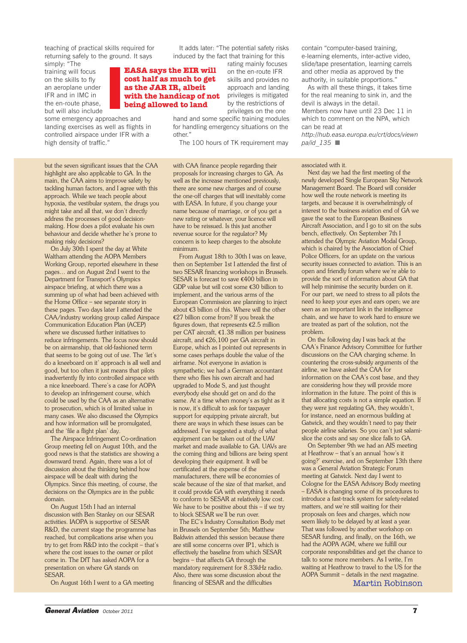teaching of practical skills required for returning safely to the ground. It says

simply: "The training will focus on the skills to fly an aeroplane under IFR and in IMC in the en-route phase, but will also include

some emergency approaches and landing exercises as well as flights in controlled airspace under IFR with a high density of traffic."

but the seven significant issues that the CAA highlight are also applicable to GA. In the main, the CAA aims to improve safety by tackling human factors, and I agree with this approach. While we teach people about hypoxia, the vestibular system, the drugs you might take and all that, we don't directly address the processes of good decisionmaking. How does a pilot evaluate his own behaviour and decide whether he's prone to making risky decisions?

On July 30th I spent the day at White Waltham attending the AOPA Members Working Group, reported elsewhere in these pages… and on August 2nd I went to the Department for Transport's Olympics airspace briefing, at which there was a summing up of what had been achieved with the Home Office – see separate story in these pages. Two days later I attended the CAA/industry working group called Airspace Communication Education Plan (ACEP) where we discussed further initiatives to reduce infringements. The focus now should be on airmanship, that old-fashioned term that seems to be going out of use. The 'let's do a kneeboard on it' approach is all well and good, but too often it just means that pilots inadvertently fly into controlled airspace with a nice kneeboard. There's a case for AOPA to develop an infringement course, which could be used by the CAA as an alternative to prosecution, which is of limited value in many cases. We also discussed the Olympics and how information will be promulgated, and the 'file a flight plan' day.

The Airspace Infringement Co-ordination Group meeting fell on August 10th, and the good news is that the statistics are showing a downward trend. Again, there was a lot of discussion about the thinking behind how airspace will be dealt with during the Olympics. Since this meeting, of course, the decisions on the Olympics are in the public domain.

On August 15th I had an internal discussion with Ben Stanley on our SESAR activities. IAOPA is supportive of SESAR R&D, the current stage the programme has reached, but complications arise when you try to get from R&D into the cockpit – that's where the cost issues to the owner or pilot come in. The DfT has asked AOPA for a presentation on where GA stands on SESAR.

On August 16th I went to a GA meeting

It adds later: "The potential safety risks induced by the fact that training for this

## **EASA says the EIR will cost half as much to get as the JAR IR, albeit with the handicap of not being allowed to land**

rating mainly focuses on the en-route IFR skills and provides no approach and landing privileges is mitigated by the restrictions of privileges on the one

hand and some specific training modules for handling emergency situations on the other."

The 100 hours of TK requirement may

with CAA finance people regarding their proposals for increasing charges to GA. As well as the increase mentioned previously, there are some new charges and of course the one-off charges that will inevitably come with EASA. In future, if you change your name because of marriage, or of you get a new rating or whatever, your licence will have to be reissued. Is this just another revenue source for the regulator? My concern is to keep charges to the absolute minimum.

From August 18th to 30th I was on leave, then on September 1st I attended the first of two SESAR financing workshops in Brussels. SESAR is forecast to save €400 billion in GDP value but will cost some €30 billion to implement, and the various arms of the European Commission are planning to inject about €3 billion of this. Where will the other €27 billion come from? If you break the figures down, that represents  $\epsilon$ 2.5 million per CAT aircraft, €1.38 million per business aircraft, and €26,100 per GA aircraft in Europe, which as I pointed out represents in some cases perhaps double the value of the airframe. Not everyone in aviation is sympathetic; we had a German accountant there who flies his own aircraft and had upgraded to Mode S, and just thought everybody else should get on and do the same. At a time when money's as tight as it is now, it's difficult to ask for taxpayer support for equipping private aircraft, but there are ways in which these issues can be addressed. I've suggested a study of what equipment can be taken out of the UAV market and made available to GA. UAVs are the coming thing and billions are being spent developing their equipment. It will be certificated at the expense of the manufacturers, there will be economies of scale because of the size of that market, and it could provide GA with everything it needs to conform to SESAR at relatively low cost. We have to be positive about this  $-$  if we try to block SESAR we'll be run over.

The EC's Industry Consultation Body met in Brussels on September 5th; Matthew Baldwin attended this session because there are still some concerns over IP1, which is effectively the baseline from which SESAR begins – that affects GA through the mandatory requirement for 8.33kHz radio. Also, there was some discussion about the financing of SESAR and the difficulties

contain "computer-based training, e-learning elements, inter-active video, slide/tape presentation, learning carrels and other media as approved by the authority, in suitable proportions."

As with all these things, it takes time for the real meaning to sink in, and the devil is always in the detail. Members now have until 23 Dec 11 in which to comment on the NPA, which can be read at

*http://hub.easa.europa.eu/crt/docs/viewn pa/id* 135 ■

### associated with it.

Next day we had the first meeting of the newly developed Single European Sky Network Management Board. The Board will consider how well the route network is meeting its targets, and because it is overwhelmingly of interest to the business aviation end of GA we gave the seat to the European Business Aircraft Association, and I go to sit on the subs bench, effectively. On September 7th I attended the Olympic Aviation Modal Group, which is chaired by the Association of Chief Police Officers, for an update on the various security issues connected to aviation. This is an open and friendly forum where we're able to provide the sort of information about GA that will help minimise the security burden on it. For our part, we need to stress to all pilots the need to keep your eyes and ears open; we are seen as an important link in the intelligence chain, and we have to work hard to ensure we are treated as part of the solution, not the problem.

On the following day I was back at the CAA's Finance Advisory Committee for further discussions on the CAA charging scheme. In countering the cross-subsidy arguments of the airline, we have asked the CAA for information on the CAA's cost base, and they are considering how they will provide more information in the future. The point of this is that allocating costs is not a simple equation. If they were just regulating GA, they wouldn't, for instance, need an enormous building at Gatwick, and they wouldn't need to pay their people airline salaries. So you can't just salamislice the costs and say one slice falls to GA.

On September 9th we had an AIS meeting at Heathrow – that's an annual 'how's it going?' exercise, and on September 13th there was a General Aviation Strategic Forum meeting at Gatwick. Next day I went to Cologne for the EASA Advisory Body meeting – EASA is changing some of its procedures to introduce a fast-track system for safety-related matters, and we're still waiting for their proposals on fees and charges, which now seem likely to be delayed by at least a year. That was followed by another workshop on SESAR funding, and finally, on the 16th, we had the AOPA AGM, where we fulfill our corporate responsibilities and get the chance to talk to some more members. As I write, I'm waiting at Heathrow to travel to the US for the AOPA Summit – details in the next magazine. Martin Robinson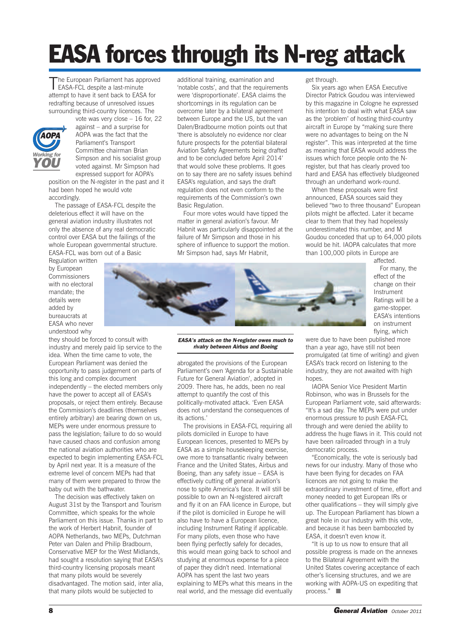# **EASA forces through its N-reg attack**

The European Parliament has approved<br>
EASA-FCL despite a last-minute attempt to have it sent back to EASA for redrafting because of unresolved issues surrounding third-country licences. The



vote was very close – 16 for, 22 against – and a surprise for AOPA was the fact that the Parliament's Transport Committee chairman Brian Simpson and his socialist group voted against. Mr Simpson had expressed support for AOPA's

position on the N-register in the past and it had been hoped he would vote accordingly.

The passage of EASA-FCL despite the deleterious effect it will have on the general aviation industry illustrates not only the absence of any real democratic control over EASA but the failings of the whole European governmental structure. EASA-FCL was born out of a Basic

Regulation written by European Commissioners with no electoral mandate; the details were added by bureaucrats at EASA who never understood why

they should be forced to consult with industry and merely paid lip service to the idea. When the time came to vote, the European Parliament was denied the opportunity to pass judgement on parts of this long and complex document independently – the elected members only have the power to accept all of EASA's proposals, or reject them entirely. Because the Commission's deadlines (themselves entirely arbitrary) are bearing down on us, MEPs were under enormous pressure to pass the legislation; failure to do so would have caused chaos and confusion among the national aviation authorities who are expected to begin implementing EASA-FCL by April next year. It is a measure of the extreme level of concern MEPs had that many of them were prepared to throw the baby out with the bathwater.

The decision was effectively taken on August 31st by the Transport and Tourism Committee, which speaks for the whole Parliament on this issue. Thanks in part to the work of Herbert Habnit, founder of AOPA Netherlands, two MEPs, Dutchman Peter van Dalen and Philip Bradbourn, Conservative MEP for the West Midlands, had sought a resolution saying that EASA's third-country licensing proposals meant that many pilots would be severely disadvantaged. The motion said, inter alia, that many pilots would be subjected to

additional training, examination and 'notable costs', and that the requirements were 'disproportionate'. EASA claims the shortcomings in its regulation can be overcome later by a bilateral agreement between Europe and the US, but the van Dalen/Bradbourne motion points out that 'there is absolutely no evidence nor clear future prospects for the potential bilateral Aviation Safety Agreements being drafted and to be concluded before April 2014' that would solve these problems. It goes on to say there are no safety issues behind EASA's regulation, and says the draft regulation does not even conform to the requirements of the Commission's own Basic Regulation.

Four more votes would have tipped the matter in general aviation's favour. Mr Habnit was particularly disappointed at the failure of Mr Simpson and those in his sphere of influence to support the motion. Mr Simpson had, says Mr Habnit,

get through.

Six years ago when EASA Executive Director Patrick Goudou was interviewed by this magazine in Cologne he expressed his intention to deal with what EASA saw as the 'problem' of hosting third-country aircraft in Europe by "making sure there were no advantages to being on the N register". This was interpreted at the time as meaning that EASA would address the issues which force people onto the Nregister, but that has clearly proved too hard and EASA has effectively bludgeoned through an underhand work-round.

When these proposals were first announced, EASA sources said they believed "two to three thousand" European pilots might be affected. Later it became clear to them that they had hopelessly underestimated this number, and M Goudou conceded that up to 64,000 pilots would be hit. IAOPA calculates that more than 100,000 pilots in Europe are

affected. For many, the effect of the change on their Instrument Ratings will be a game-stopper. EASA's intentions on instrument flying, which

*EASA's attack on the N-register owes much to rivalry between Airbus and Boeing*

abrogated the provisions of the European Parliament's own 'Agenda for a Sustainable Future for General Aviation', adopted in 2009. There has, he adds, been no real attempt to quantify the cost of this politically-motivated attack. 'Even EASA does not understand the consequences of its actions.'

The provisions in EASA-FCL requiring all pilots domiciled in Europe to have European licences, presented to MEPs by EASA as a simple housekeeping exercise, owe more to transatlantic rivalry between France and the United States, Airbus and Boeing, than any safety issue – EASA is effectively cutting off general aviation's nose to spite America's face. It will still be possible to own an N-registered aircraft and fly it on an FAA licence in Europe, but if the pilot is domiciled in Europe he will also have to have a European licence, including Instrument Rating if applicable. For many pilots, even those who have been flying perfectly safely for decades, this would mean going back to school and studying at enormous expense for a piece of paper they didn't need. International AOPA has spent the last two years explaining to MEPs what this means in the real world, and the message did eventually

were due to have been published more than a year ago, have still not been promulgated (at time of writing) and given EASA's track record on listening to the industry, they are not awaited with high hones

IAOPA Senior Vice President Martin Robinson, who was in Brussels for the European Parliament vote, said afterwards: "It's a sad day. The MEPs were put under enormous pressure to push EASA-FCL through and were denied the ability to address the huge flaws in it. This could not have been railroaded through in a truly

"Economically, the vote is seriously bad news for our industry. Many of those who have been flying for decades on FAA licences are not going to make the extraordinary investment of time, effort and money needed to get European IRs or other qualifications – they will simply give up. The European Parliament has blown a great hole in our industry with this vote, and because it has been bamboozled by EASA, it doesn't even know it.

"It is up to us now to ensure that all possible progress is made on the annexes to the Bilateral Agreement with the United States covering acceptance of each other's licensing structures, and we are working with AOPA-US on expediting that process." ■

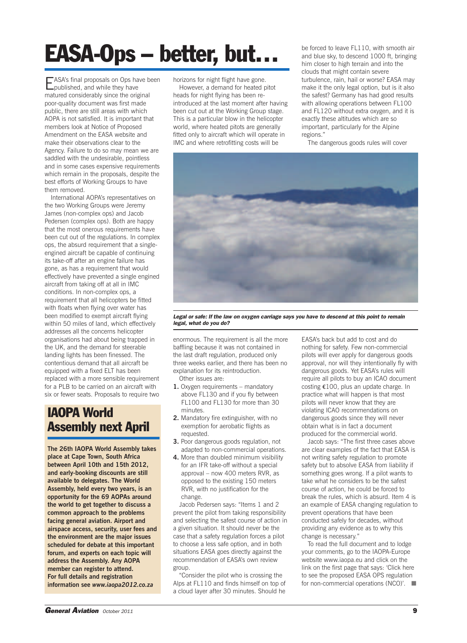# **EASA-Ops – better, but…**

EASA's final proposals on Ops have been<br>published, and while they have matured considerably since the original poor-quality document was first made public, there are still areas with which AOPA is not satisfied. It is important that members look at Notice of Proposed Amendment on the EASA website and make their observations clear to the Agency. Failure to do so may mean we are saddled with the undesirable, pointless and in some cases expensive requirements which remain in the proposals, despite the best efforts of Working Groups to have them removed.

International AOPA's representatives on the two Working Groups were Jeremy James (non-complex ops) and Jacob Pedersen (complex ops). Both are happy that the most onerous requirements have been cut out of the regulations. In complex ops, the absurd requirement that a singleengined aircraft be capable of continuing its take-off after an engine failure has gone, as has a requirement that would effectively have prevented a single engined aircraft from taking off at all in IMC conditions. In non-complex ops, a requirement that all helicopters be fitted with floats when flying over water has been modified to exempt aircraft flying within 50 miles of land, which effectively addresses all the concerns helicopter organisations had about being trapped in the UK, and the demand for steerable landing lights has been finessed. The contentious demand that all aircraft be equipped with a fixed ELT has been replaced with a more sensible requirement for a PLB to be carried on an aircraft with six or fewer seats. Proposals to require two

## **IAOPA World Assembly next April**

**The 26th IAOPA World Assembly takes place at Cape Town, South Africa between April 10th and 15th 2012, and early-booking discounts are still available to delegates. The World Assembly, held every two years, is an opportunity for the 69 AOPAs around the world to get together to discuss a common approach to the problems facing general aviation. Airport and airspace access, security, user fees and the environment are the major issues scheduled for debate at this important forum, and experts on each topic will address the Assembly. Any AOPA member can register to attend. For full details and registration information see** *www.iaopa2012.co.za*

horizons for night flight have gone.

However, a demand for heated pitot heads for night flying has been reintroduced at the last moment after having been cut out at the Working Group stage. This is a particular blow in the helicopter world, where heated pitots are generally fitted only to aircraft which will operate in IMC and where retrofitting costs will be

be forced to leave FL110, with smooth air and blue sky, to descend 1000 ft, bringing him closer to high terrain and into the clouds that might contain severe turbulence, rain, hail or worse? EASA may make it the only legal option, but is it also the safest? Germany has had good results with allowing operations between FL100 and FL120 without extra oxygen, and it is exactly these altitudes which are so important, particularly for the Alpine regions."

The dangerous goods rules will cover



Legal or safe: If the law on oxygen carriage says you have to descend at this point to remain *legal, what do you do?*

enormous. The requirement is all the more baffling because it was not contained in the last draft regulation, produced only three weeks earlier, and there has been no explanation for its reintroduction.

Other issues are:

- **1.** Oxygen requirements mandatory above FL130 and if you fly between FL100 and FL130 for more than 30 minutes.
- **2.** Mandatory fire extinguisher, with no exemption for aerobatic flights as requested
- **3.** Poor dangerous goods regulation, not adapted to non-commercial operations.
- **4.** More than doubled minimum visibility for an IFR take-off without a special approval – now 400 meters RVR, as opposed to the existing 150 meters RVR, with no justification for the change.

Jacob Pedersen says: "Items 1 and 2 prevent the pilot from taking responsibility and selecting the safest course of action in a given situation. It should never be the case that a safety regulation forces a pilot to choose a less safe option, and in both situations EASA goes directly against the recommendation of EASA's own review group.

"Consider the pilot who is crossing the Alps at FL110 and finds himself on top of a cloud layer after 30 minutes. Should he

EASA's back but add to cost and do nothing for safety. Few non-commercial pilots will ever apply for dangerous goods approval, nor will they intentionally fly with dangerous goods. Yet EASA's rules will require all pilots to buy an ICAO document costing €100, plus an update charge. In practice what will happen is that most pilots will never know that they are violating ICAO recommendations on dangerous goods since they will never obtain what is in fact a document produced for the commercial world.

Jacob says: "The first three cases above are clear examples of the fact that EASA is not writing safety regulation to promote safety but to absolve EASA from liability if something goes wrong. If a pilot wants to take what he considers to be the safest course of action, he could be forced to break the rules, which is absurd. Item 4 is an example of EASA changing regulation to prevent operations that have been conducted safely for decades, without providing any evidence as to why this change is necessary."

To read the full document and to lodge your comments, go to the IAOPA-Europe website www.iaopa.eu and click on the link on the first page that says: 'Click here to see the proposed EASA OPS regulation for non-commercial operations (NCO)'. ■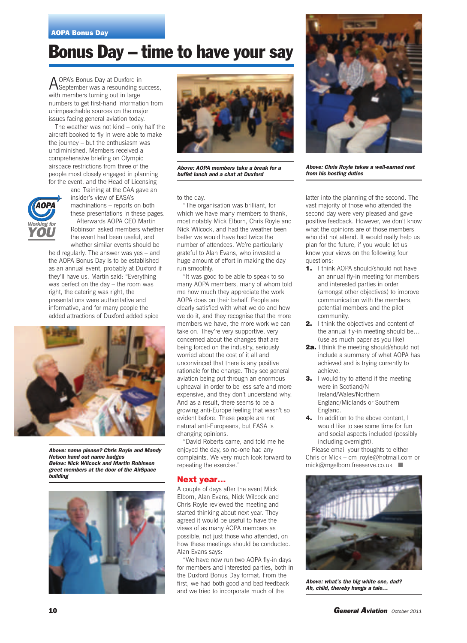## **Bonus Day – time to have your say**

AOPA's Bonus Day at Duxford in September was a resounding success, with members turning out in large numbers to get first-hand information from unimpeachable sources on the major issues facing general aviation today.

The weather was not kind – only half the aircraft booked to fly in were able to make the journey – but the enthusiasm was undiminished. Members received a comprehensive briefing on Olympic airspace restrictions from three of the people most closely engaged in planning for the event, and the Head of Licensing



and Training at the CAA gave an insider's view of EASA's machinations – reports on both these presentations in these pages. Afterwards AOPA CEO Martin Robinson asked members whether the event had been useful, and whether similar events should be

held regularly. The answer was yes – and the AOPA Bonus Day is to be established as an annual event, probably at Duxford if they'll have us. Martin said: "Everything was perfect on the day – the room was right, the catering was right, the presentations were authoritative and informative, and for many people the added attractions of Duxford added spice



*Above: name please? Chris Royle and Mandy Nelson hand out name badges Below: Nick Wilcock and Martin Robinson greet members at the door of the AirSpace building*





*Above: AOPA members take a break for a buffet lunch and a chat at Duxford*

to the day.

"The organisation was brilliant, for which we have many members to thank, most notably Mick Elborn, Chris Royle and Nick Wilcock, and had the weather been better we would have had twice the number of attendees. We're particularly grateful to Alan Evans, who invested a huge amount of effort in making the day run smoothly.

"It was good to be able to speak to so many AOPA members, many of whom told me how much they appreciate the work AOPA does on their behalf. People are clearly satisfied with what we do and how we do it, and they recognise that the more members we have, the more work we can take on. They're very supportive, very concerned about the changes that are being forced on the industry, seriously worried about the cost of it all and unconvinced that there is any positive rationale for the change. They see general aviation being put through an enormous upheaval in order to be less safe and more expensive, and they don't understand why. And as a result, there seems to be a growing anti-Europe feeling that wasn't so evident before. These people are not natural anti-Europeans, but EASA is changing opinions.

"David Roberts came, and told me he enjoyed the day, so no-one had any complaints. We very much look forward to repeating the exercise."

#### **Next year…**

A couple of days after the event Mick Elborn, Alan Evans, Nick Wilcock and Chris Royle reviewed the meeting and started thinking about next year. They agreed it would be useful to have the views of as many AOPA members as possible, not just those who attended, on how these meetings should be conducted. Alan Evans says:

"We have now run two AOPA fly-in days for members and interested parties, both in the Duxford Bonus Day format. From the first, we had both good and bad feedback and we tried to incorporate much of the



*Above: Chris Royle takes a well-earned rest from his hosting duties*

latter into the planning of the second. The vast majority of those who attended the second day were very pleased and gave positive feedback. However, we don't know what the opinions are of those members who did not attend. It would really help us plan for the future, if you would let us know your views on the following four questions:

- **1.** I think AOPA should/should not have an annual fly-in meeting for members and interested parties in order (amongst other objectives) to improve communication with the members, potential members and the pilot community.
- **2.** I think the objectives and content of the annual fly-in meeting should be… (use as much paper as you like)
- **2a.** I think the meeting should/should not include a summary of what AOPA has achieved and is trying currently to achieve.
- **3.** I would try to attend if the meeting were in Scotland/N Ireland/Wales/Northern England/Midlands or Southern England.
- **4.** In addition to the above content, I would like to see some time for fun and social aspects included (possibly including overnight).

Please email your thoughts to either Chris or Mick – cm\_royle@hotmail.com or mick@mgelborn.freeserve.co.uk ■



*Above: what's the big white one, dad? Ah, child, thereby hangs a tale…*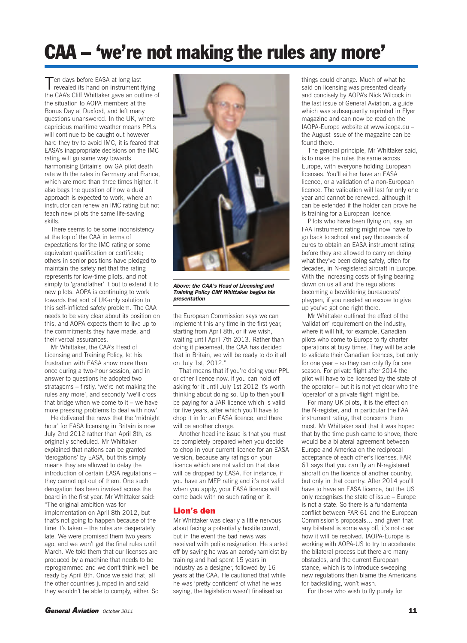## **CAA – 'we're not making the rules any more'**

Ten days before EASA at long last<br>revealed its hand on instrument flying the CAA's Cliff Whittaker gave an outline of the situation to AOPA members at the Bonus Day at Duxford, and left many questions unanswered. In the UK, where capricious maritime weather means PPLs will continue to be caught out however hard they try to avoid IMC, it is feared that EASA's inappropriate decisions on the IMC rating will go some way towards harmonising Britain's low GA pilot death rate with the rates in Germany and France, which are more than three times higher. It also begs the question of how a dual approach is expected to work, where an instructor can renew an IMC rating but not teach new pilots the same life-saving skills.

There seems to be some inconsistency at the top of the CAA in terms of expectations for the IMC rating or some equivalent qualification or certificate; others in senior positions have pledged to maintain the safety net that the rating represents for low-time pilots, and not simply to 'grandfather' it but to extend it to new pilots. AOPA is continuing to work towards that sort of UK-only solution to this self-inflicted safety problem. The CAA needs to be very clear about its position on this, and AOPA expects them to live up to the commitments they have made, and their verbal assurances.

Mr Whittaker, the CAA's Head of Licensing and Training Policy, let his frustration with EASA show more than once during a two-hour session, and in answer to questions he adopted two stratagems – firstly, 'we're not making the rules any more', and secondly 'we'll cross that bridge when we come to it – we have more pressing problems to deal with now'.

He delivered the news that the 'midnight hour' for EASA licensing in Britain is now July 2nd 2012 rather than April 8th, as originally scheduled. Mr Whittaker explained that nations can be granted 'derogations' by EASA, but this simply means they are allowed to delay the introduction of certain EASA regulations – they cannot opt out of them. One such derogation has been invoked across the board in the first year. Mr Whittaker said: "The original ambition was for implementation on April 8th 2012, but that's not going to happen because of the time it's taken – the rules are desperately late. We were promised them two years ago, and we won't get the final rules until March. We told them that our licenses are produced by a machine that needs to be reprogrammed and we don't think we'll be ready by April 8th. Once we said that, all the other countries jumped in and said they wouldn't be able to comply, either. So



*Above: the CAA's Head of Licensing and Training Policy Cliff Whittaker begins his presentation*

the European Commission says we can implement this any time in the first year, starting from April 8th, or if we wish, waiting until April 7th 2013. Rather than doing it piecemeal, the CAA has decided that in Britain, we will be ready to do it all on July 1st, 2012."

That means that if you're doing your PPL or other licence now, if you can hold off asking for it until July 1st 2012 it's worth thinking about doing so. Up to then you'll be paying for a JAR licence which is valid for five years, after which you'll have to chop it in for an EASA licence, and there will be another charge.

Another headline issue is that you must be completely prepared when you decide to chop in your current licence for an EASA version, because any ratings on your licence which are not valid on that date will be dropped by EASA. For instance, if you have an MEP rating and it's not valid when you apply, your EASA licence will come back with no such rating on it.

### **Lion's den**

Mr Whittaker was clearly a little nervous about facing a potentially hostile crowd, but in the event the bad news was received with polite resignation. He started off by saying he was an aerodynamicist by training and had spent 15 years in industry as a designer, followed by 16 years at the CAA. He cautioned that while he was 'pretty confident' of what he was saying, the legislation wasn't finalised so

things could change. Much of what he said on licensing was presented clearly and concisely by AOPA's Nick Wilcock in the last issue of General Aviation, a guide which was subsequently reprinted in Flyer magazine and can now be read on the IAOPA-Europe website at www.iaopa.eu – the August issue of the magazine can be found there.

The general principle, Mr Whittaker said, is to make the rules the same across Europe, with everyone holding European licenses. You'll either have an EASA licence, or a validation of a non-European licence. The validation will last for only one year and cannot be renewed, although it can be extended if the holder can prove he is training for a European licence.

Pilots who have been flying on, say, an FAA instrument rating might now have to go back to school and pay thousands of euros to obtain an EASA instrument rating before they are allowed to carry on doing what they've been doing safely, often for decades, in N-registered aircraft in Europe. With the increasing costs of flying bearing down on us all and the regulations becoming a bewildering bureaucrats' playpen, if you needed an excuse to give up you've got one right there.

Mr Whittaker outlined the effect of the 'validation' requirement on the industry, where it will hit, for example, Canadian pilots who come to Europe to fly charter operations at busy times. They will be able to validate their Canadian licences, but only for one year – so they can only fly for one season. For private flight after 2014 the pilot will have to be licensed by the state of the operator – but it is not yet clear who the 'operator' of a private flight might be.

For many UK pilots, it is the effect on the N-register, and in particular the FAA instrument rating, that concerns them most. Mr Whittaker said that it was hoped that by the time push came to shove, there would be a bilateral agreement between Europe and America on the reciprocal acceptance of each other's licenses. FAR 61 says that you can fly an N-registered aircraft on the licence of another country, but only in that country. After 2014 you'll have to have an EASA licence, but the US only recognises the state of issue – Europe is not a state. So there is a fundamental conflict between FAR 61 and the European Commission's proposals… and given that any bilateral is some way off, it's not clear how it will be resolved. IAOPA-Europe is working with AOPA-US to try to accelerate the bilateral process but there are many obstacles, and the current European stance, which is to introduce sweeping new regulations then blame the Americans for backsliding, won't wash.

For those who wish to fly purely for